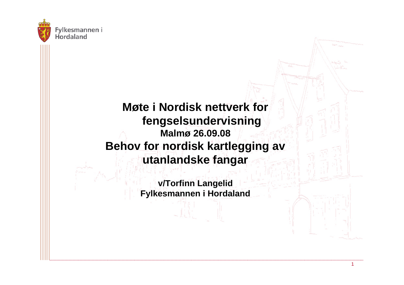

#### **Møte i Nordisk nettverk for fengselsundervisning Malmø 26.09.08 Behov for nordisk kartlegging av utanlandske fangar**

**v/Torfinn Langelid Fylkesmannen i Hordaland**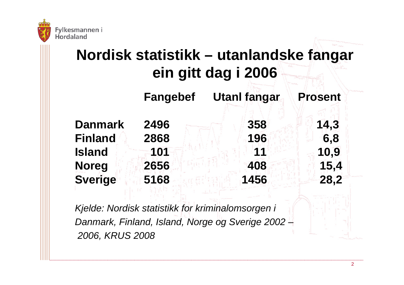

## **Nordisk statistikk – utanlandske fangar ein gitt dag i 2006**

**Fangebef Utanl fangar Prosent**

**Danmark 2496 358 14,3 Finland 2868 196 6,8 Island 101 11 10,9 Noreg 2656 408 15,4 Sverige 5168 1456 28,2**

*Kjelde: Nordisk statistikk for kriminalomsorgen i Danmark, Finland, Island, Norge og Sverige 2002 – 2006, KRUS 2008*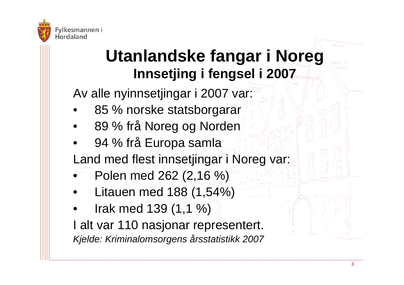

# **Utanlandske fangar i Noreg Innsetjing i fengsel i 2007**

Av alle nyinnsetjingar i 2007 var:

- •85 % norske statsborgarar
- •89 % frå Noreg og Norden
- •94 % frå Europa samla

Land med flest innsetjingar i Noreg var:

- •Polen med 262 (2,16 %)
- •Litauen med 188 (1,54%)
- • Irak med 139 (1,1 %) I alt var 110 nasjonar representert. *Kjelde: Kriminalomsorgens årsstatistikk 2007*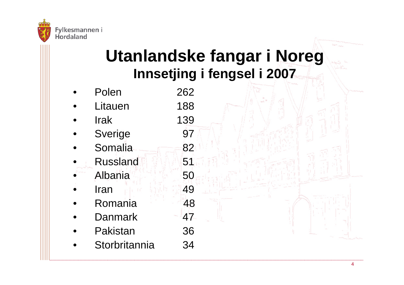

# **Utanlandske fangar i Noreg Innsetjing i fengsel i 2007**

82

51

50

49

48

47

36

- •Polen 262 •Litauen 188 139
	- •**Irak**
	- •Sverige 97
	- •Somalia
	- •**Russland**
	- •**Albania**
	- •**Iran**
	- •Romania
	- •**Danmark**
	- •Pakistan
	- •Storbritannia 34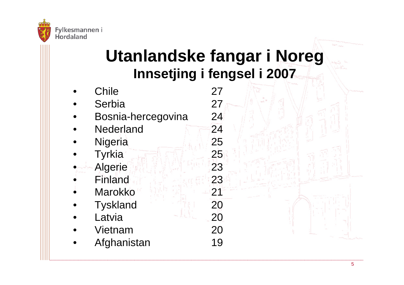

# **Utanlandske fangar i Noreg Innsetjing i fengsel i 2007**

•**Chile** 27 •Serbia 27 • Bosnia-hercegovina 24 •**Nederland** 24 •Nigeria 25 • Tyrkia 25 •Algerie 23 •Finland 23 •Marokko 21 •Tyskland 20 •Latvia 20 •Vietnam 20 •Afghanistan 19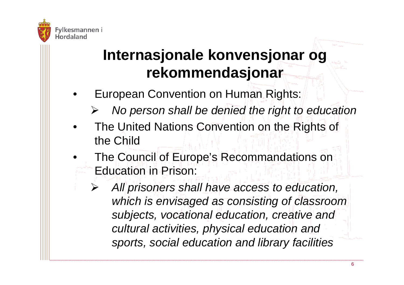

## **Internasjonale konvensjonar og rekommendasjonar**

- • European Convention on Human Rights:
	- ¾*No person shall be denied the right to education*
- • The United Nations Convention on the Rights of the Child
- • The Council of Europe's Recommandations on Education in Prison:
	- ¾ *All prisoners shall have access to education, which is envisaged as consisting of classroom subjects, vocational education, creative and cultural activities, physical education and sports, social education and library facilities*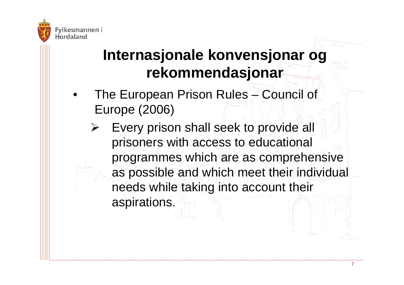

#### **Internasjonale konvensjonar og rekommendasjonar**

- • The European Prison Rules – Council of Europe (2006)
	- ¾ Every prison shall seek to provide all prisoners with access to educational programmes which are as comprehensive as possible and which meet their individual needs while taking into account their aspirations.